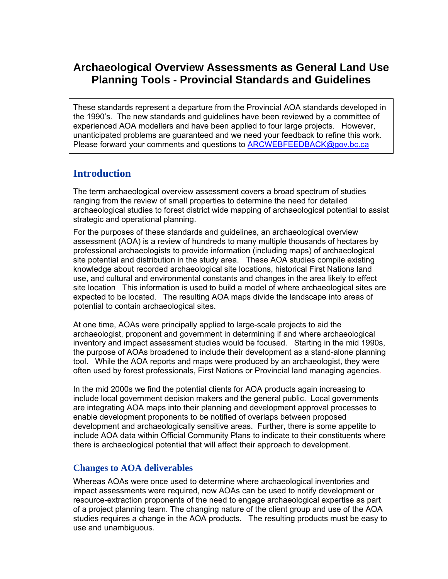# **Archaeological Overview Assessments as General Land Use Planning Tools - Provincial Standards and Guidelines**

These standards represent a departure from the Provincial AOA standards developed in the 1990's. The new standards and guidelines have been reviewed by a committee of experienced AOA modellers and have been applied to four large projects. However, unanticipated problems are guaranteed and we need your feedback to refine this work. Please forward your comments and questions to **[ARCWEBFEEDBACK@gov.bc.ca](mailto:ARCWEBFEEDBACK@gov.bc.ca)** 

# **Introduction**

The term archaeological overview assessment covers a broad spectrum of studies ranging from the review of small properties to determine the need for detailed archaeological studies to forest district wide mapping of archaeological potential to assist strategic and operational planning.

For the purposes of these standards and guidelines, an archaeological overview assessment (AOA) is a review of hundreds to many multiple thousands of hectares by professional archaeologists to provide information (including maps) of archaeological site potential and distribution in the study area. These AOA studies compile existing knowledge about recorded archaeological site locations, historical First Nations land use, and cultural and environmental constants and changes in the area likely to effect site location This information is used to build a model of where archaeological sites are expected to be located. The resulting AOA maps divide the landscape into areas of potential to contain archaeological sites.

At one time, AOAs were principally applied to large-scale projects to aid the archaeologist, proponent and government in determining if and where archaeological inventory and impact assessment studies would be focused. Starting in the mid 1990s, the purpose of AOAs broadened to include their development as a stand-alone planning tool. While the AOA reports and maps were produced by an archaeologist, they were often used by forest professionals, First Nations or Provincial land managing agencies.

In the mid 2000s we find the potential clients for AOA products again increasing to include local government decision makers and the general public. Local governments are integrating AOA maps into their planning and development approval processes to enable development proponents to be notified of overlaps between proposed development and archaeologically sensitive areas. Further, there is some appetite to include AOA data within Official Community Plans to indicate to their constituents where there is archaeological potential that will affect their approach to development.

# **Changes to AOA deliverables**

Whereas AOAs were once used to determine where archaeological inventories and impact assessments were required, now AOAs can be used to notify development or resource-extraction proponents of the need to engage archaeological expertise as part of a project planning team. The changing nature of the client group and use of the AOA studies requires a change in the AOA products. The resulting products must be easy to use and unambiguous.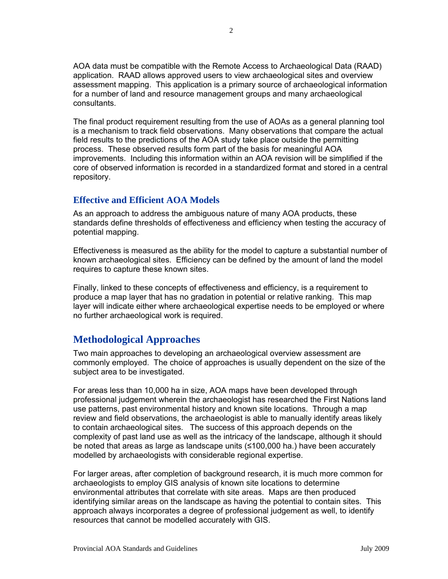AOA data must be compatible with the Remote Access to Archaeological Data (RAAD) application. RAAD allows approved users to view archaeological sites and overview assessment mapping. This application is a primary source of archaeological information for a number of land and resource management groups and many archaeological consultants.

The final product requirement resulting from the use of AOAs as a general planning tool is a mechanism to track field observations. Many observations that compare the actual field results to the predictions of the AOA study take place outside the permitting process. These observed results form part of the basis for meaningful AOA improvements. Including this information within an AOA revision will be simplified if the core of observed information is recorded in a standardized format and stored in a central repository.

# **Effective and Efficient AOA Models**

As an approach to address the ambiguous nature of many AOA products, these standards define thresholds of effectiveness and efficiency when testing the accuracy of potential mapping.

Effectiveness is measured as the ability for the model to capture a substantial number of known archaeological sites. Efficiency can be defined by the amount of land the model requires to capture these known sites.

Finally, linked to these concepts of effectiveness and efficiency, is a requirement to produce a map layer that has no gradation in potential or relative ranking. This map layer will indicate either where archaeological expertise needs to be employed or where no further archaeological work is required.

# **Methodological Approaches**

Two main approaches to developing an archaeological overview assessment are commonly employed. The choice of approaches is usually dependent on the size of the subject area to be investigated.

For areas less than 10,000 ha in size, AOA maps have been developed through professional judgement wherein the archaeologist has researched the First Nations land use patterns, past environmental history and known site locations. Through a map review and field observations, the archaeologist is able to manually identify areas likely to contain archaeological sites. The success of this approach depends on the complexity of past land use as well as the intricacy of the landscape, although it should be noted that areas as large as landscape units (≤100,000 ha.) have been accurately modelled by archaeologists with considerable regional expertise.

For larger areas, after completion of background research, it is much more common for archaeologists to employ GIS analysis of known site locations to determine environmental attributes that correlate with site areas. Maps are then produced identifying similar areas on the landscape as having the potential to contain sites. This approach always incorporates a degree of professional judgement as well, to identify resources that cannot be modelled accurately with GIS.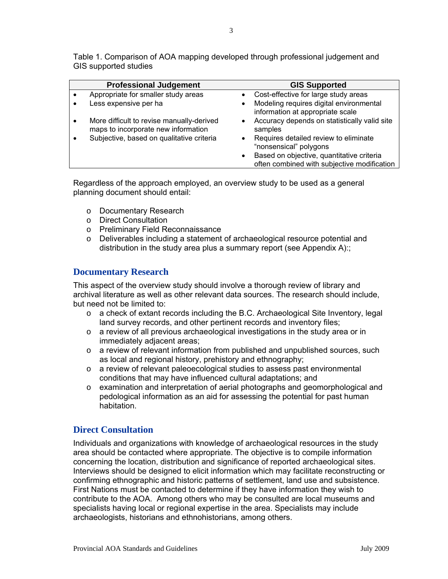Table 1. Comparison of AOA mapping developed through professional judgement and GIS supported studies

| <b>Professional Judgement</b>                                                    | <b>GIS Supported</b>                                                                                  |
|----------------------------------------------------------------------------------|-------------------------------------------------------------------------------------------------------|
| Appropriate for smaller study areas                                              | Cost-effective for large study areas                                                                  |
| Less expensive per ha                                                            | Modeling requires digital environmental<br>$\bullet$<br>information at appropriate scale              |
| More difficult to revise manually-derived<br>maps to incorporate new information | Accuracy depends on statistically valid site<br>samples                                               |
| Subjective, based on qualitative criteria                                        | Requires detailed review to eliminate<br>"nonsensical" polygons                                       |
|                                                                                  | Based on objective, quantitative criteria<br>$\bullet$<br>often combined with subjective modification |

Regardless of the approach employed, an overview study to be used as a general planning document should entail:

- o Documentary Research
- o Direct Consultation
- o Preliminary Field Reconnaissance
- $\circ$  Deliverables including a statement of archaeological resource potential and distribution in the study area plus a summary report (see [Appendix A\)](http://www.tsa.gov.bc.ca/archaeology/docs/impact_assessment_guidelines/appendix_A_part1.htm):;

## **Documentary Research**

This aspect of the overview study should involve a thorough review of library and archival literature as well as other relevant data sources. The research should include, but need not be limited to:

- o a check of extant records including the B.C. Archaeological Site Inventory, legal land survey records, and other pertinent records and inventory files;
- $\circ$  a review of all previous archaeological investigations in the study area or in immediately adjacent areas;
- o a review of relevant information from published and unpublished sources, such as local and regional history, prehistory and ethnography;
- $\circ$  a review of relevant paleoecological studies to assess past environmental conditions that may have influenced cultural adaptations; and
- $\circ$  examination and interpretation of aerial photographs and geomorphological and pedological information as an aid for assessing the potential for past human habitation.

## **Direct Consultation**

Individuals and organizations with knowledge of archaeological resources in the study area should be contacted where appropriate. The objective is to compile information concerning the location, distribution and significance of reported archaeological sites. Interviews should be designed to elicit information which may facilitate reconstructing or confirming ethnographic and historic patterns of settlement, land use and subsistence. First Nations must be contacted to determine if they have information they wish to contribute to the AOA. Among others who may be consulted are local museums and specialists having local or regional expertise in the area. Specialists may include archaeologists, historians and ethnohistorians, among others.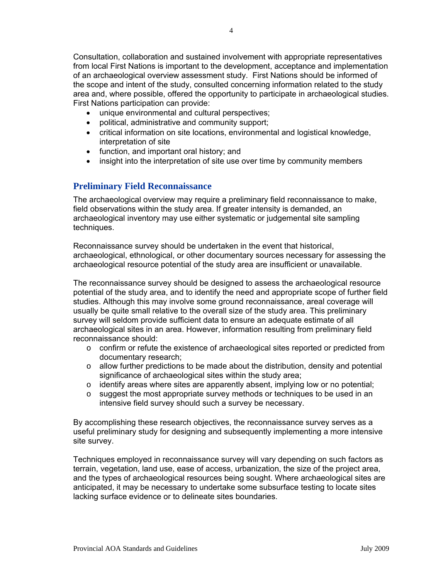Consultation, collaboration and sustained involvement with appropriate representatives from local First Nations is important to the development, acceptance and implementation of an archaeological overview assessment study. First Nations should be informed of the scope and intent of the study, consulted concerning information related to the study area and, where possible, offered the opportunity to participate in archaeological studies. First Nations participation can provide:

- unique environmental and cultural perspectives;
- political, administrative and community support;
- critical information on site locations, environmental and logistical knowledge, interpretation of site
- function, and important oral history; and
- insight into the interpretation of site use over time by community members

# **Preliminary Field Reconnaissance**

The archaeological overview may require a preliminary field reconnaissance to make, field observations within the study area. If greater intensity is demanded, an archaeological inventory may use either systematic or judgemental site sampling techniques.

Reconnaissance survey should be undertaken in the event that historical, archaeological, ethnological, or other documentary sources necessary for assessing the archaeological resource potential of the study area are insufficient or unavailable.

The reconnaissance survey should be designed to assess the archaeological resource potential of the study area, and to identify the need and appropriate scope of further field studies. Although this may involve some ground reconnaissance, areal coverage will usually be quite small relative to the overall size of the study area. This preliminary survey will seldom provide sufficient data to ensure an adequate estimate of all archaeological sites in an area. However, information resulting from preliminary field reconnaissance should:

- $\circ$  confirm or refute the existence of archaeological sites reported or predicted from documentary research;
- $\circ$  allow further predictions to be made about the distribution, density and potential significance of archaeological sites within the study area;
- $\circ$  identify areas where sites are apparently absent, implying low or no potential;
- $\circ$  suggest the most appropriate survey methods or techniques to be used in an intensive field survey should such a survey be necessary.

By accomplishing these research objectives, the reconnaissance survey serves as a useful preliminary study for designing and subsequently implementing a more intensive site survey.

Techniques employed in reconnaissance survey will vary depending on such factors as terrain, vegetation, land use, ease of access, urbanization, the size of the project area, and the types of archaeological resources being sought. Where archaeological sites are anticipated, it may be necessary to undertake some subsurface testing to locate sites lacking surface evidence or to delineate sites boundaries.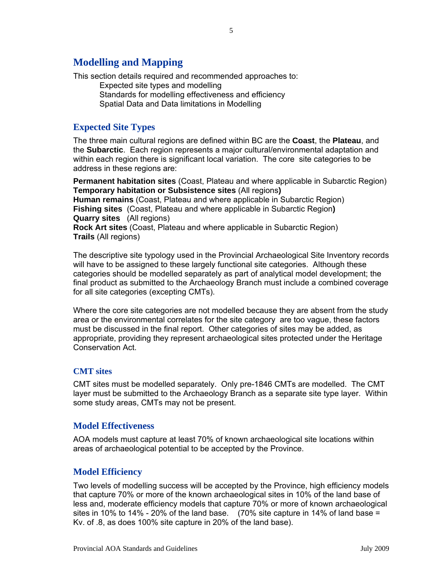# **Modelling and Mapping**

This section details required and recommended approaches to: Expected site types and modelling

Standards for modelling effectiveness and efficiency Spatial Data and Data limitations in Modelling

# **Expected Site Types**

The three main cultural regions are defined within BC are the **Coast**, the **Plateau**, and the **Subarctic**. Each region represents a major cultural/environmental adaptation and within each region there is significant local variation. The core site categories to be address in these regions are:

**Permanent habitation sites** (Coast, Plateau and where applicable in Subarctic Region) **Temporary habitation or Subsistence sites** (All regions**) Human remains** (Coast, Plateau and where applicable in Subarctic Region) **Fishing sites** (Coast, Plateau and where applicable in Subarctic Region**) Quarry sites** (All regions) **Rock Art sites** (Coast, Plateau and where applicable in Subarctic Region) **Trails** (All regions)

The descriptive site typology used in the Provincial Archaeological Site Inventory records will have to be assigned to these largely functional site categories. Although these categories should be modelled separately as part of analytical model development; the final product as submitted to the Archaeology Branch must include a combined coverage for all site categories (excepting CMTs).

Where the core site categories are not modelled because they are absent from the study area or the environmental correlates for the site category are too vague, these factors must be discussed in the final report. Other categories of sites may be added, as appropriate, providing they represent archaeological sites protected under the Heritage Conservation Act.

## **CMT sites**

CMT sites must be modelled separately. Only pre-1846 CMTs are modelled. The CMT layer must be submitted to the Archaeology Branch as a separate site type layer. Within some study areas, CMTs may not be present.

## **Model Effectiveness**

AOA models must capture at least 70% of known archaeological site locations within areas of archaeological potential to be accepted by the Province.

# **Model Efficiency**

Two levels of modelling success will be accepted by the Province, high efficiency models that capture 70% or more of the known archaeological sites in 10% of the land base of less and, moderate efficiency models that capture 70% or more of known archaeological sites in 10% to 14% - 20% of the land base. (70% site capture in 14% of land base = Kv. of .8, as does 100% site capture in 20% of the land base).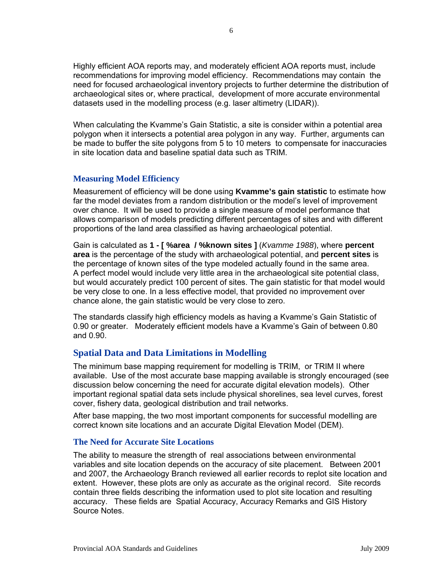Highly efficient AOA reports may, and moderately efficient AOA reports must, include recommendations for improving model efficiency. Recommendations may contain the need for focused archaeological inventory projects to further determine the distribution of archaeological sites or, where practical, development of more accurate environmental datasets used in the modelling process (e.g. laser altimetry (LIDAR)).

When calculating the Kvamme's Gain Statistic, a site is consider within a potential area polygon when it intersects a potential area polygon in any way. Further, arguments can be made to buffer the site polygons from 5 to 10 meters to compensate for inaccuracies in site location data and baseline spatial data such as TRIM.

### **Measuring Model Efficiency**

Measurement of efficiency will be done using **Kvamme's gain statistic** to estimate how far the model deviates from a random distribution or the model's level of improvement over chance. It will be used to provide a single measure of model performance that allows comparison of models predicting different percentages of sites and with different proportions of the land area classified as having archaeological potential.

Gain is calculated as **1 - [ %area / %known sites ]** (*Kvamme 1988*), where **percent area** is the percentage of the study with archaeological potential, and **percent sites** is the percentage of known sites of the type modeled actually found in the same area. A perfect model would include very little area in the archaeological site potential class, but would accurately predict 100 percent of sites. The gain statistic for that model would be very close to one. In a less effective model, that provided no improvement over chance alone, the gain statistic would be very close to zero.

The standards classify high efficiency models as having a Kvamme's Gain Statistic of 0.90 or greater. Moderately efficient models have a Kvamme's Gain of between 0.80 and 0.90.

# **Spatial Data and Data Limitations in Modelling**

The minimum base mapping requirement for modelling is TRIM, or TRIM II where available. Use of the most accurate base mapping available is strongly encouraged (see discussion below concerning the need for accurate digital elevation models). Other important regional spatial data sets include physical shorelines, sea level curves, forest cover, fishery data, geological distribution and trail networks.

After base mapping, the two most important components for successful modelling are correct known site locations and an accurate Digital Elevation Model (DEM).

## **The Need for Accurate Site Locations**

The ability to measure the strength of real associations between environmental variables and site location depends on the accuracy of site placement. Between 2001 and 2007, the Archaeology Branch reviewed all earlier records to replot site location and extent. However, these plots are only as accurate as the original record. Site records contain three fields describing the information used to plot site location and resulting accuracy. These fields are Spatial Accuracy, Accuracy Remarks and GIS History Source Notes.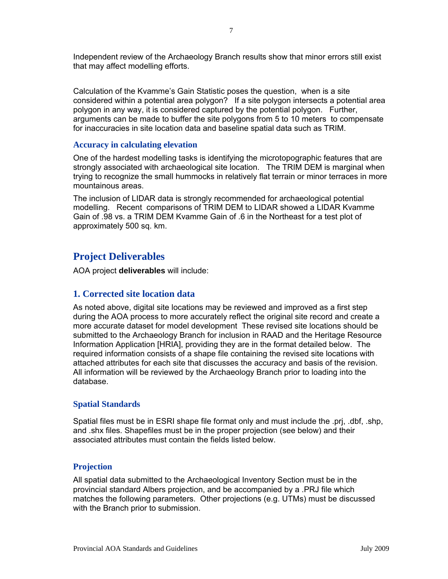Independent review of the Archaeology Branch results show that minor errors still exist that may affect modelling efforts.

Calculation of the Kvamme's Gain Statistic poses the question, when is a site considered within a potential area polygon? If a site polygon intersects a potential area polygon in any way, it is considered captured by the potential polygon. Further, arguments can be made to buffer the site polygons from 5 to 10 meters to compensate for inaccuracies in site location data and baseline spatial data such as TRIM.

### **Accuracy in calculating elevation**

One of the hardest modelling tasks is identifying the microtopographic features that are strongly associated with archaeological site location. The TRIM DEM is marginal when trying to recognize the small hummocks in relatively flat terrain or minor terraces in more mountainous areas.

The inclusion of LIDAR data is strongly recommended for archaeological potential modelling. Recent comparisons of TRIM DEM to LIDAR showed a LIDAR Kvamme Gain of .98 vs. a TRIM DEM Kvamme Gain of .6 in the Northeast for a test plot of approximately 500 sq. km.

# **Project Deliverables**

AOA project **deliverables** will include:

# **1. Corrected site location data**

As noted above, digital site locations may be reviewed and improved as a first step during the AOA process to more accurately reflect the original site record and create a more accurate dataset for model development These revised site locations should be submitted to the Archaeology Branch for inclusion in RAAD and the Heritage Resource Information Application [HRIA], providing they are in the format detailed below. The required information consists of a shape file containing the revised site locations with attached attributes for each site that discusses the accuracy and basis of the revision. All information will be reviewed by the Archaeology Branch prior to loading into the database.

# **Spatial Standards**

Spatial files must be in ESRI shape file format only and must include the .prj, .dbf, .shp, and .shx files. Shapefiles must be in the proper projection (see below) and their associated attributes must contain the fields listed below.

## **Projection**

All spatial data submitted to the Archaeological Inventory Section must be in the provincial standard Albers projection, and be accompanied by a .PRJ file which matches the following parameters. Other projections (e.g. UTMs) must be discussed with the Branch prior to submission.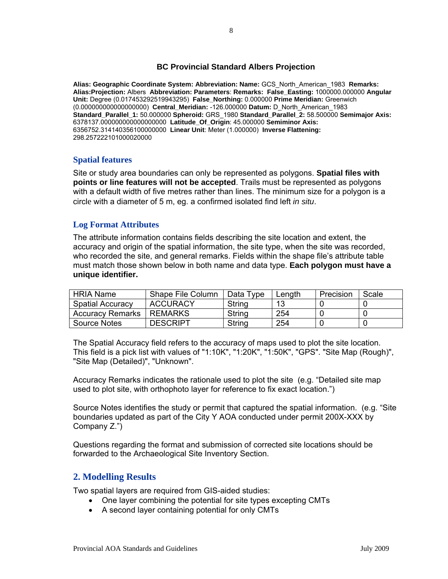### **BC Provincial Standard Albers Projection**

**Alias: Geographic Coordinate System: Abbreviation: Name:** GCS\_North\_American\_1983 **Remarks: Alias:Projection:** Albers **Abbreviation: Parameters**: **Remarks: False\_Easting:** 1000000.000000 **Angular Unit:** Degree (0.017453292519943295) **False\_Northing:** 0.000000 **Prime Meridian:** Greenwich (0.000000000000000000) **Central\_Meridian:** -126.000000 **Datum:** D\_North\_American\_1983 **Standard\_Parallel\_1:** 50.000000 **Spheroid:** GRS\_1980 **Standard\_Parallel\_2:** 58.500000 **Semimajor Axis:** 6378137.000000000000000000 **Latitude\_Of\_Origin**: 45.000000 **Semiminor Axis:** 6356752.314140356100000000 **Linear Unit**: Meter (1.000000) **Inverse Flattening:** 298.257222101000020000

### **Spatial features**

Site or study area boundaries can only be represented as polygons. **Spatial files with points or line features will not be accepted**. Trails must be represented as polygons with a default width of five metres rather than lines. The minimum size for a polygon is a circle with a diameter of 5 m, eg. a confirmed isolated find left *in situ*.

### **Log Format Attributes**

The attribute information contains fields describing the site location and extent, the accuracy and origin of the spatial information, the site type, when the site was recorded, who recorded the site, and general remarks. Fields within the shape file's attribute table must match those shown below in both name and data type. **Each polygon must have a unique identifier.** 

| <b>HRIA Name</b>        | Shape File Column | Data Type | ∟enqth | Precision | Scale |
|-------------------------|-------------------|-----------|--------|-----------|-------|
| <b>Spatial Accuracy</b> | <b>ACCURACY</b>   | String    |        |           |       |
| <b>Accuracy Remarks</b> | <b>REMARKS</b>    | String    | 254    |           |       |
| Source Notes            | <b>DESCRIPT</b>   | String    | 254    |           |       |

The Spatial Accuracy field refers to the accuracy of maps used to plot the site location. This field is a pick list with values of "1:10K", "1:20K", "1:50K", "GPS". "Site Map (Rough)", "Site Map (Detailed)", "Unknown".

Accuracy Remarks indicates the rationale used to plot the site (e.g. "Detailed site map used to plot site, with orthophoto layer for reference to fix exact location.")

Source Notes identifies the study or permit that captured the spatial information. (e.g. "Site boundaries updated as part of the City Y AOA conducted under permit 200X-XXX by Company Z.")

Questions regarding the format and submission of corrected site locations should be forwarded to the Archaeological Site Inventory Section.

## **2. Modelling Results**

Two spatial layers are required from GIS-aided studies:

- One layer combining the potential for site types excepting CMTs
- A second layer containing potential for only CMTs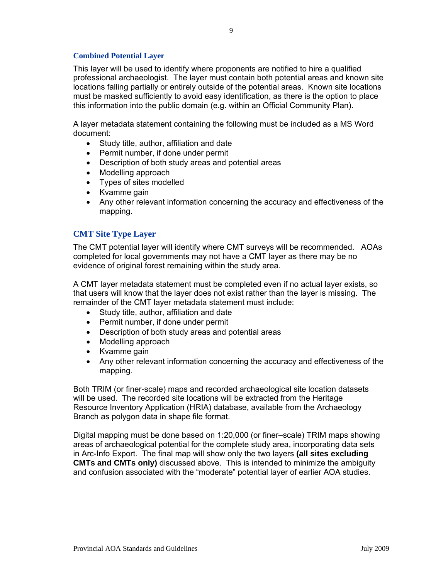### **Combined Potential Layer**

This layer will be used to identify where proponents are notified to hire a qualified professional archaeologist. The layer must contain both potential areas and known site locations falling partially or entirely outside of the potential areas. Known site locations must be masked sufficiently to avoid easy identification, as there is the option to place this information into the public domain (e.g. within an Official Community Plan).

A layer metadata statement containing the following must be included as a MS Word document:

- Study title, author, affiliation and date
- Permit number, if done under permit
- Description of both study areas and potential areas
- Modelling approach
- Types of sites modelled
- Kvamme gain
- Any other relevant information concerning the accuracy and effectiveness of the mapping.

### **CMT Site Type Layer**

The CMT potential layer will identify where CMT surveys will be recommended. AOAs completed for local governments may not have a CMT layer as there may be no evidence of original forest remaining within the study area.

A CMT layer metadata statement must be completed even if no actual layer exists, so that users will know that the layer does not exist rather than the layer is missing. The remainder of the CMT layer metadata statement must include:

- Study title, author, affiliation and date
- Permit number, if done under permit
- Description of both study areas and potential areas
- Modelling approach
- Kvamme gain
- Any other relevant information concerning the accuracy and effectiveness of the mapping.

Both TRIM (or finer-scale) maps and recorded archaeological site location datasets will be used. The recorded site locations will be extracted from the Heritage Resource Inventory Application (HRIA) database, available from the Archaeology Branch as polygon data in shape file format.

Digital mapping must be done based on 1:20,000 (or finer–scale) TRIM maps showing areas of archaeological potential for the complete study area, incorporating data sets in Arc-Info Export. The final map will show only the two layers **(all sites excluding CMTs and CMTs only)** discussed above. This is intended to minimize the ambiguity and confusion associated with the "moderate" potential layer of earlier AOA studies.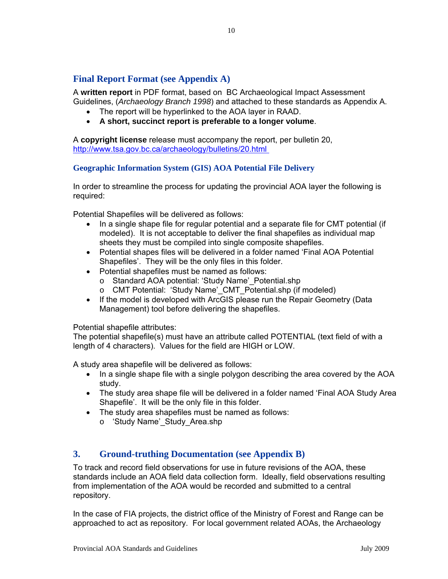# **Final Report Format (see Appendix A)**

A **written report** in PDF format, based on BC Archaeological Impact Assessment Guidelines, (*Archaeology Branch 1998*) and attached to these standards as Appendix A.

- The report will be hyperlinked to the AOA layer in RAAD.
- **A short, succinct report is preferable to a longer volume**.

A **copyright license** release must accompany the report, per bulletin 20, http://www.tsa.gov.bc.ca/archaeology/bulletins/20.html

## **Geographic Information System (GIS) AOA Potential File Delivery**

In order to streamline the process for updating the provincial AOA layer the following is required:

Potential Shapefiles will be delivered as follows:

- In a single shape file for regular potential and a separate file for CMT potential (if modeled). It is not acceptable to deliver the final shapefiles as individual map sheets they must be compiled into single composite shapefiles.
- Potential shapes files will be delivered in a folder named 'Final AOA Potential Shapefiles'. They will be the only files in this folder.
- Potential shapefiles must be named as follows:
	- o Standard AOA potential: 'Study Name'\_Potential.shp
	- o CMT Potential: 'Study Name' CMT Potential.shp (if modeled)
- If the model is developed with ArcGIS please run the Repair Geometry (Data Management) tool before delivering the shapefiles.

Potential shapefile attributes:

The potential shapefile(s) must have an attribute called POTENTIAL (text field of with a length of 4 characters). Values for the field are HIGH or LOW.

A study area shapefile will be delivered as follows:

- In a single shape file with a single polygon describing the area covered by the AOA study.
- The study area shape file will be delivered in a folder named 'Final AOA Study Area Shapefile'. It will be the only file in this folder.
- The study area shapefiles must be named as follows:
	- o 'Study Name'\_Study\_Area.shp

# **3. Ground-truthing Documentation (see Appendix B)**

To track and record field observations for use in future revisions of the AOA, these standards include an AOA field data collection form. Ideally, field observations resulting from implementation of the AOA would be recorded and submitted to a central repository.

In the case of FIA projects, the district office of the Ministry of Forest and Range can be approached to act as repository. For local government related AOAs, the Archaeology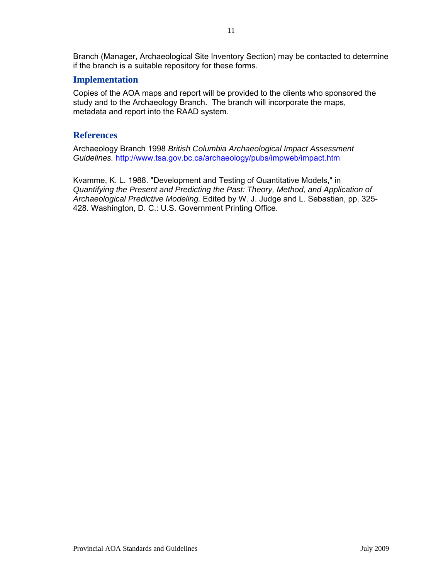Branch (Manager, Archaeological Site Inventory Section) may be contacted to determine if the branch is a suitable repository for these forms.

## **Implementation**

Copies of the AOA maps and report will be provided to the clients who sponsored the study and to the Archaeology Branch. The branch will incorporate the maps, metadata and report into the RAAD system.

## **References**

Archaeology Branch 1998 *British Columbia Archaeological Impact Assessment Guidelines.* http://www.tsa.gov.bc.ca/archaeology/pubs/impweb/impact.htm

Kvamme, K. L. 1988. "Development and Testing of Quantitative Models," in *Quantifying the Present and Predicting the Past: Theory, Method, and Application of Archaeological Predictive Modeling.* Edited by W. J. Judge and L. Sebastian, pp. 325- 428. Washington, D. C.: U.S. Government Printing Office.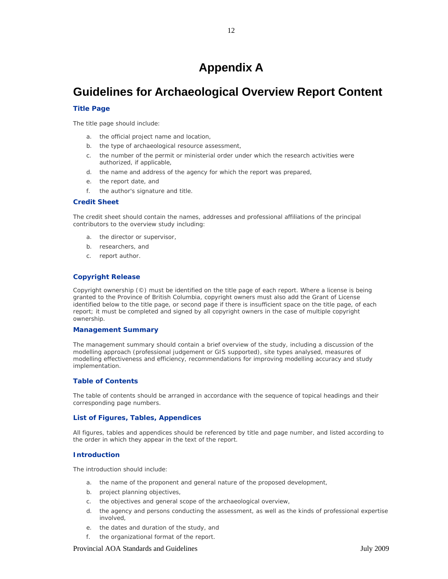# **Appendix A**

# **Guidelines for Archaeological Overview Report Content**

### **Title Page**

The title page should include:

- a. the official project name and location,
- b. the type of archaeological resource assessment,
- c. the number of the permit or ministerial order under which the research activities were authorized, if applicable,
- d. the name and address of the agency for which the report was prepared,
- e. the report date, and
- f. the author's signature and title.

#### **Credit Sheet**

The credit sheet should contain the names, addresses and professional affiliations of the principal contributors to the overview study including:

- a. the director or supervisor,
- b. researchers, and
- c. report author.

#### **Copyright Release**

Copyright ownership (©) must be identified on the title page of each report. Where a license is being granted to the Province of British Columbia, copyright owners must also add the Grant of License identified below to the title page, or second page if there is insufficient space on the title page, of each report; it must be completed and signed by all copyright owners in the case of multiple copyright ownership.

#### **Management Summary**

The management summary should contain a brief overview of the study, including a discussion of the modelling approach (professional judgement or GIS supported), site types analysed, measures of modelling effectiveness and efficiency, recommendations for improving modelling accuracy and study implementation.

#### **Table of Contents**

The table of contents should be arranged in accordance with the sequence of topical headings and their corresponding page numbers.

#### **List of Figures, Tables, Appendices**

All figures, tables and appendices should be referenced by title and page number, and listed according to the order in which they appear in the text of the report.

#### **Introduction**

The introduction should include:

- a. the name of the proponent and general nature of the proposed development,
- b. project planning objectives,
- c. the objectives and general scope of the archaeological overview,
- d. the agency and persons conducting the assessment, as well as the kinds of professional expertise involved,
- e. the dates and duration of the study, and
- f. the organizational format of the report.

#### Provincial AOA Standards and Guidelines **Figure 2009** 3 and Guidelines July 2009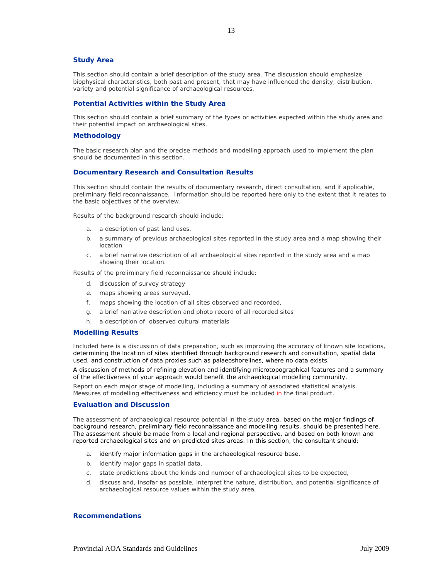#### **Study Area**

This section should contain a brief description of the study area. The discussion should emphasize biophysical characteristics, both past and present, that may have influenced the density, distribution, variety and potential significance of archaeological resources.

13

#### **Potential Activities within the Study Area**

This section should contain a brief summary of the types or activities expected within the study area and their potential impact on archaeological sites.

#### **Methodology**

The basic research plan and the precise methods and modelling approach used to implement the plan should be documented in this section.

#### **Documentary Research and Consultation Results**

This section should contain the results of documentary research, direct consultation, and if applicable, preliminary field reconnaissance. Information should be reported here only to the extent that it relates to the basic objectives of the overview.

Results of the background research should include:

- a. a description of past land uses,
- b. a summary of previous archaeological sites reported in the study area and a map showing their location
- c. a brief narrative description of all archaeological sites reported in the study area and a map showing their location.

Results of the preliminary field reconnaissance should include:

- d. discussion of survey strategy
- e. maps showing areas surveyed,
- f. maps showing the location of all sites observed and recorded,
- g. a brief narrative description and photo record of all recorded sites
- h. a description of observed cultural materials

#### **Modelling Results**

Included here is a discussion of data preparation, such as improving the accuracy of known site locations, determining the location of sites identified through background research and consultation, spatial data used, and construction of data proxies such as palaeoshorelines, where no data exists.

A discussion of methods of refining elevation and identifying microtopographical features and a summary of the effectiveness of your approach would benefit the archaeological modelling community.

Report on each major stage of modelling, including a summary of associated statistical analysis. Measures of modelling effectiveness and efficiency must be included in the final product.

#### **Evaluation and Discussion**

The assessment of archaeological resource potential in the study area, based on the major findings of background research, preliminary field reconnaissance and modelling results, should be presented here. The assessment should be made from a local and regional perspective, and based on both known and reported archaeological sites and on predicted sites areas. In this section, the consultant should:

- a. identify major information gaps in the archaeological resource base,
- b. identify major gaps in spatial data,
- c. state predictions about the kinds and number of archaeological sites to be expected,
- discuss and, insofar as possible, interpret the nature, distribution, and potential significance of archaeological resource values within the study area,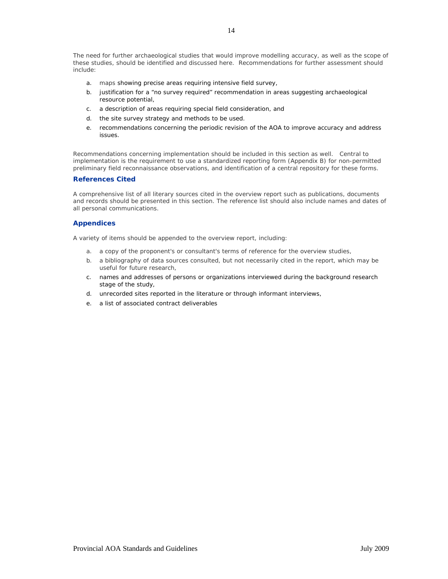The need for further archaeological studies that would improve modelling accuracy, as well as the scope of these studies, should be identified and discussed here. Recommendations for further assessment should include:

- a. maps showing precise areas requiring intensive field survey,
- b. justification for a "no survey required" recommendation in areas suggesting archaeological resource potential,
- c. a description of areas requiring special field consideration, and
- d. the site survey strategy and methods to be used.
- e. recommendations concerning the periodic revision of the AOA to improve accuracy and address issues.

Recommendations concerning implementation should be included in this section as well. Central to implementation is the requirement to use a standardized reporting form (Appendix B) for non-permitted preliminary field reconnaissance observations, and identification of a central repository for these forms.

### **References Cited**

A comprehensive list of all literary sources cited in the overview report such as publications, documents and records should be presented in this section. The reference list should also include names and dates of all personal communications.

### **Appendices**

A variety of items should be appended to the overview report, including:

- a. a copy of the proponent's or consultant's terms of reference for the overview studies,
- b. a bibliography of data sources consulted, but not necessarily cited in the report, which may be useful for future research,
- c. names and addresses of persons or organizations interviewed during the background research stage of the study,
- d. unrecorded sites reported in the literature or through informant interviews,
- e. a list of associated contract deliverables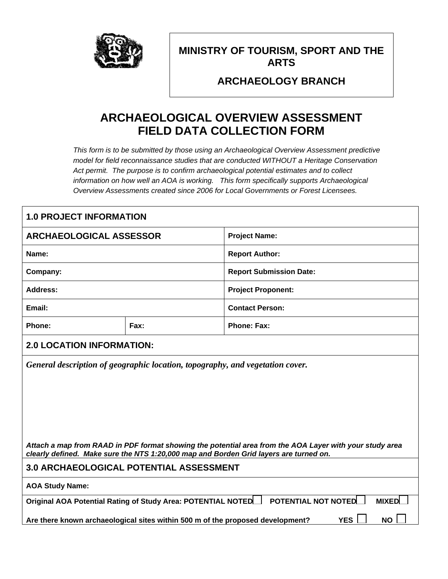

# **MINISTRY OF TOURISM, SPORT AND THE ARTS**

# **ARCHAEOLOGY BRANCH**

# **ARCHAEOLOGICAL OVERVIEW ASSESSMENT FIELD DATA COLLECTION FORM**

*This form is to be submitted by those using an Archaeological Overview Assessment predictive model for field reconnaissance studies that are conducted WITHOUT a Heritage Conservation Act permit. The purpose is to confirm archaeological potential estimates and to collect information on how well an AOA is working. This form specifically supports Archaeological Overview Assessments created since 2006 for Local Governments or Forest Licensees.* 

| <b>1.0 PROJECT INFORMATION</b>   |  |                                |
|----------------------------------|--|--------------------------------|
| <b>ARCHAEOLOGICAL ASSESSOR</b>   |  | <b>Project Name:</b>           |
| Name:                            |  | <b>Report Author:</b>          |
| Company:                         |  | <b>Report Submission Date:</b> |
| <b>Address:</b>                  |  | <b>Project Proponent:</b>      |
| Email:                           |  | <b>Contact Person:</b>         |
| <b>Phone:</b><br>Fax:            |  | <b>Phone: Fax:</b>             |
| <b>2.0 LOCATION INFORMATION:</b> |  |                                |

*General description of geographic location, topography, and vegetation cover.* 

*Attach a map from RAAD in PDF format showing the potential area from the AOA Layer with your study area clearly defined. Make sure the NTS 1:20,000 map and Borden Grid layers are turned on.* 

**3.0 ARCHAEOLOGICAL POTENTIAL ASSESSMENT**

| <b>AOA Study Name:</b>                                                                  |                  |              |
|-----------------------------------------------------------------------------------------|------------------|--------------|
| 「Original AOA Potential Rating of Study Area: POTENTIAL NOTED I_I POTENTIAL NOT NOTED I |                  | <b>MIXED</b> |
| Are there known archaeological sites within 500 m of the proposed development?          | YES <sup>I</sup> | NO L         |